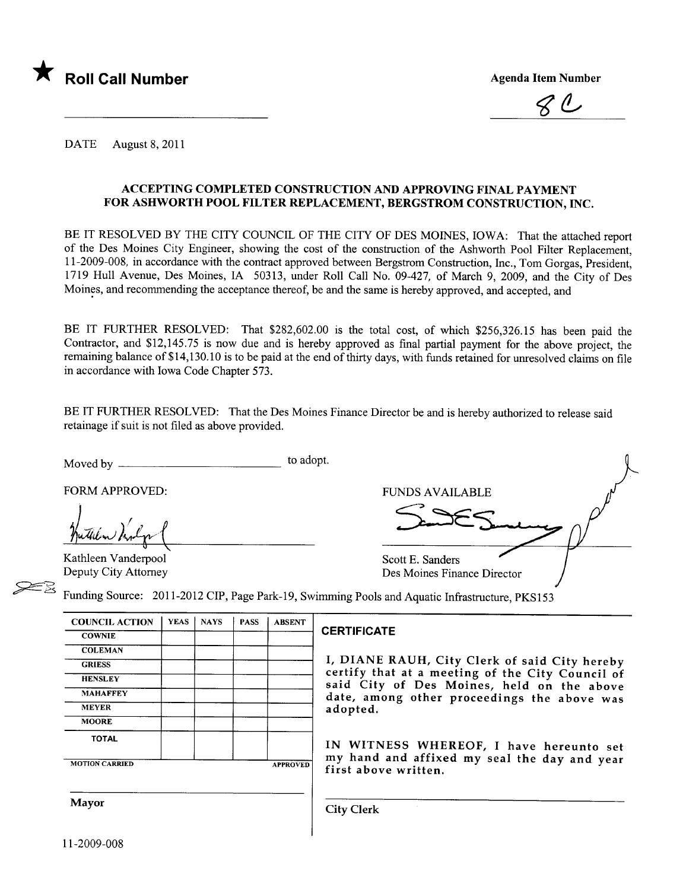

 $\ell$ ,

DATE August 8, 2011

## ACCEPTING COMPLETED CONSTRUCTION AND APPROVING FINAL PAYMENT FOR ASHWORTH POOL FILTER REPLACEMENT, BERGSTROM CONSTRUCTION, INC.

BE IT RESOLVED BY THE CITY COUNCIL OF THE CITY OF DES MOINES, IOWA: That the attached report of the Des Moines City Engineer, showing the cost of the construction of the Ashworth Pool Filter Replacement, 11-2009-008, in accordance with the contract approved between Bergstrom Construction, Inc., Tom Gorgas, President, 1719 Hull Avenue, Des Moines, IA 50313, under Roll Call No. 09-427, of March 9, 2009, and the City of Des Moines, and recommending the acceptance thereof, be and the same is hereby approved, and accepted, and

BE IT FURTHER RESOLVED: That \$282,602.00 is the total cost, of which \$256,326.15 has been paid the Contractor, and \$12,145.75 is now due and is hereby approved as final parial payment for the above project, the remaining balance of \$14, 130.1 0 is to be paid at the end of thirty days, with funds retained for unresolved claims on fie in accordance with Iowa Code Chapter 573.

BE IT FURTHER RESOLVED: That the Des Moines Finance Director be and is hereby authorized to release said retainage if suit is not fied as above provided.

Moved by to adopt.

Huthen Mily (

Kathleen Vanderpool Deputy City Attorney

FORM APPROVED: FUNDS AVAILABLE Scott E. Sanders Des Moines Finance Director<br>
9. Bes Moines Finance Director<br>
9. Swimming Pools and Aquatic Infrastructure, PKS153

| <b>COUNCIL ACTION</b> | YEAS | <b>NAYS</b> | <b>PASS</b> | <b>ABSENT</b> |                                                                                                |
|-----------------------|------|-------------|-------------|---------------|------------------------------------------------------------------------------------------------|
| <b>COWNIE</b>         |      |             |             |               | <b>CERTIFICATE</b>                                                                             |
| <b>COLEMAN</b>        |      |             |             |               |                                                                                                |
| <b>GRIESS</b>         |      |             |             |               | I, DIANE RAUH, City Clerk of said City hereby                                                  |
| <b>HENSLEY</b>        |      |             |             |               | certify that at a meeting of the City Council of<br>said City of Des Moines, held on the above |
| <b>MAHAFFEY</b>       |      |             |             |               | date, among other proceedings the above was                                                    |
| <b>MEYER</b>          |      |             |             |               | adopted.                                                                                       |

TOTAL IN WITNESS WHEREOF, <sup>I</sup> have hereunto set

MOTION CARRIED **APPROVED** my hand and affixed my seal the day and year first above written.

**MOORE** 

Mayor **City Clerk**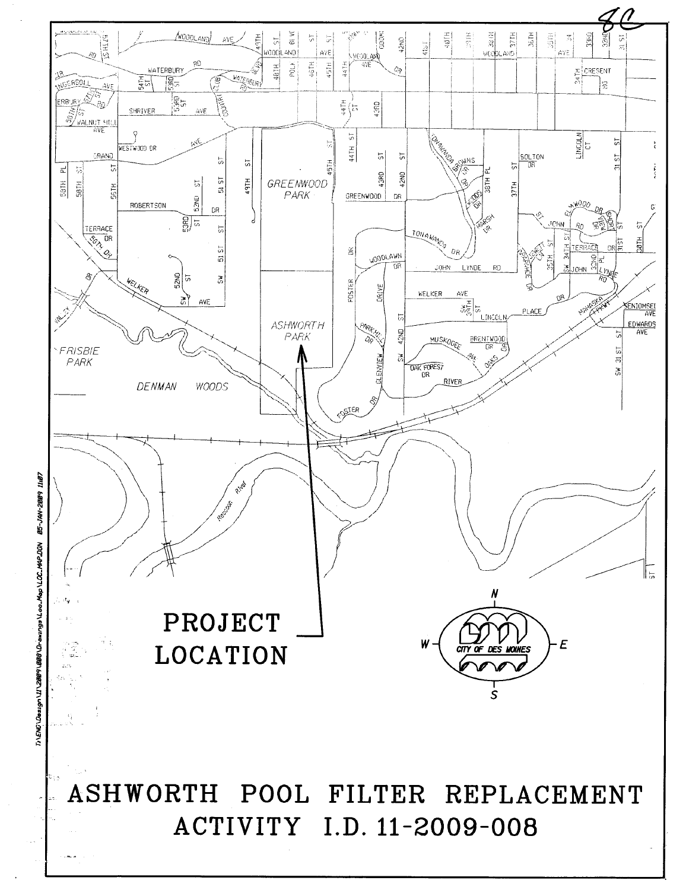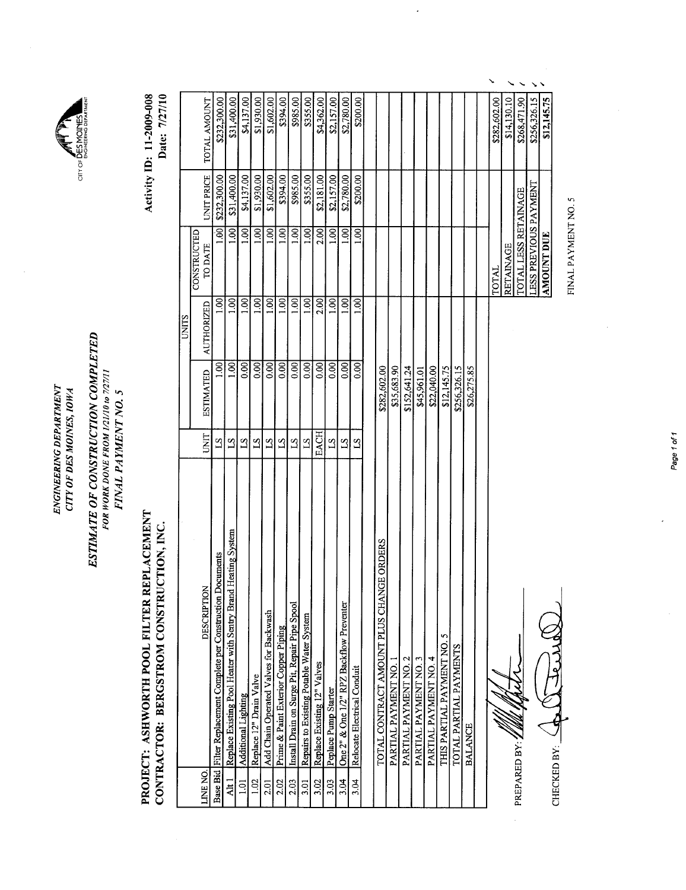|                  | CTION, INC.<br>CONTRACTOR: BERGSTROM CONSTRU                         |                 |                          |               |                        |                   | Date: 7/27/10 |
|------------------|----------------------------------------------------------------------|-----------------|--------------------------|---------------|------------------------|-------------------|---------------|
|                  |                                                                      |                 |                          | <b>UNITS</b>  |                        |                   |               |
| LINE NO.         | <b>DESCRIPTION</b>                                                   | UNIT            | <b>ESTIMATED</b>         | AUTHORIZED    | CONSTRUCTED<br>TO DATE | <b>UNIT PRICE</b> | TOTAL AMOUNT  |
|                  | ocuments<br>Base Bid Filter Replacement Complete per Construction Do | $^{2}$          | 001                      | 1.00          | 1.00                   | \$232,300.00      | \$232,300.00  |
| Alt <sub>1</sub> | Heating System<br>Replace Existing Pool Heater with Sentry Brand     | $^{2}$          | $\overline{\mathbf{S}}$  | 1.00          | 1.00                   | \$31,400.00       | \$31,400.00   |
| 3<br>2           | Additional Lighting                                                  | $^{2}$          | 0.00                     | 1.00          | 1.00                   | \$4,137.00        | \$4,137.00    |
| 1.02             | Replace 12" Drain Valve                                              | $^{2}$          | $\overline{000}$         | 1.00          | $\overline{1.00}$      | \$1,930.00        | \$1,930.00    |
| 2.01             | Add Chain Operated Valves for Backwash                               | $^{21}$         | $\overline{0.00}$        | 1.00          | 1.00                   | \$1,602.00        | \$1,602.00    |
| 2.02             | Prime & Paint Exterior Copper Piping                                 | $\mathbf{S}$    | $\overline{\mathrm{SO}}$ | 1.00          | 1.00                   | \$394.00          | \$394.00      |
| 2.03             | Install Drain on Surge Pit, Repair Pipe Spool                        | $^{21}$         | 0.00                     | $\approx 100$ | $\overline{1.00}$      | \$985.00          | \$985.00      |
| 3.01             | Repairs to Existing Potable Water System                             | $\overline{51}$ | 0.00                     | 0.001         | 1.00                   | \$355.00          | \$355.00      |
| 3.02             | Replace Existing 12" Valves                                          | EACH            | 0.00                     | 2.00          | 2.00                   | \$2,181.00        | \$4,362.00    |
| 3.03             | Peplace Pump Starter                                                 | $S_{1}$         | 0.00                     | 1.00          | 1.00                   | \$2,157.00        | \$2,157.00    |
| 3.04             | One 2" & One 1/2" RPZ Backflow Preventer                             | $^{2}$          | 0.00                     | 1.00          | $\overline{1.00}$      | \$2,780.00        | \$2,780.00    |
| 3.04             | Relocate Electrical Conduit                                          | $^{21}$         | 800                      | Šί            | 1.00                   | \$200.00          | \$200.00      |
|                  |                                                                      |                 |                          |               |                        |                   |               |
|                  | TOTAL CONTRACT AMOUNT PLUS CHANGE ORDERS                             |                 | \$282,602.00             |               |                        |                   |               |
|                  | PARTIAL PAYMENT NO.                                                  |                 | \$35,683.90              |               |                        |                   |               |
|                  | PARTIAL PAYMENT NO. 2                                                |                 | \$152,641.24             |               |                        |                   |               |
|                  | PARTIAL PAYMENT NO. 3                                                |                 | \$45,961.01              |               |                        |                   |               |
|                  | PARTIAL PAYMENT NO. 4                                                |                 | \$22,040.00              |               |                        |                   |               |
|                  | THIS PARTIAL PAYMENT NO. 5                                           |                 | \$12,145.75              |               |                        |                   |               |
|                  | TOTAL PARTIAL PAYMENTS                                               |                 | \$256,326.15             |               |                        |                   |               |
|                  | <b>BALANCE</b>                                                       |                 | \$26,275.85              |               |                        |                   |               |
|                  |                                                                      |                 |                          |               |                        |                   |               |
|                  |                                                                      |                 |                          |               | TOTAL                  |                   | \$282,602.00  |
|                  |                                                                      |                 |                          |               | <b>RETAINAGE</b>       |                   | \$14,130.10   |
|                  |                                                                      |                 |                          |               |                        |                   |               |

PREPARDBV/bll  $\mathfrak k$ PREPARED BY: /////

 $\frac{1}{2}$ 

CHECKED BY: 4 PLATFORMAL CHECKED BY: C

FINAL PAYMENT NO. 5 FINAL PAYMENT NO.5

TOTAL LESS RETAINAGE \$268,471.90

 i.. .-

\$268,471.90

 $\ddot{\phantom{0}}$ 

LESS PREVIOUS PAYMENT \$256,326.15 AMOUNT DUE \$12,145.75

LESS PREVIOUS PAYMENT<br>AMOUNT DUE TOTAL LESS RETAINAGE

\$256,326.15

\$12,145.75

city of

Activity ID: 11-2009-008

**Activity ID: 11-2009-008** 

ENGINEERING DEPARTMENT CITY OF DES MOINES, IOWA

ENGINEERING DEPARTMENT CITY OF DES MOINES, IOWA ESTIMATE OF CONSTRUCTION COMPLETED FOR WORK DONE FROM 1/21/10 to 7/27/11 FINAL PAYMENT NO.5

FINAL PAYMENT NO. 5

ESTIMATE OF CONSTRUCTION COMPLETED FOR WORK DONE FROM 1/21/10 to 7/27/11

PROJECT: ASHWORTH POOL FILTER REPLACEMENT

PROJECT: ASHWORTH POOL FILTER REPLACEMENT

Page 10f1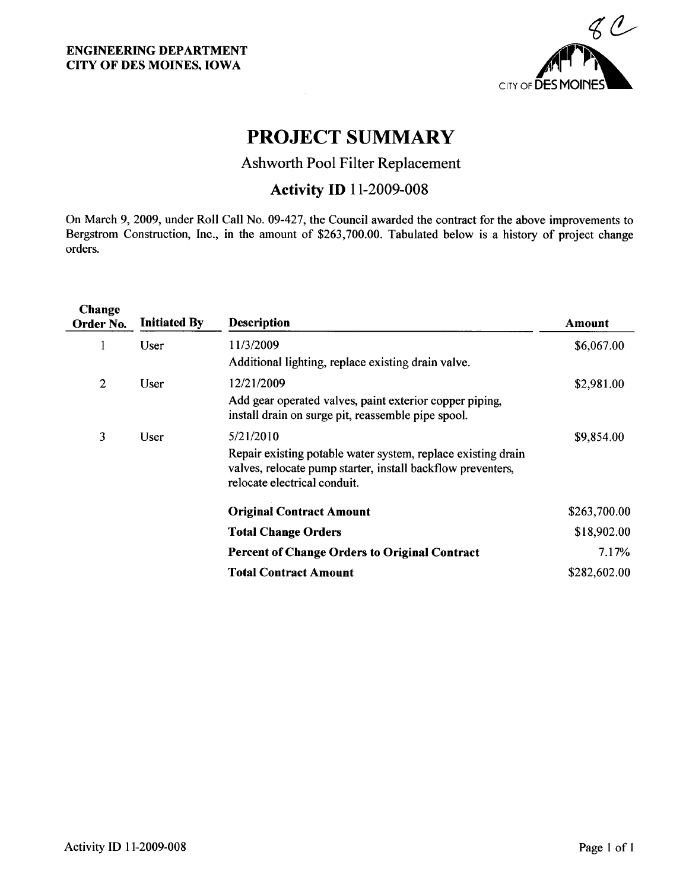

# PROJECT SUMMARY

# Ashworth Pool Filter Replacement

# **Activity ID** 11-2009-008

On March 9,2009, under Roll Call No. 09-427, the Council awarded the contract for the above improvements to Bergstrom Construction, Inc., in the amount of \$263,700.00. Tabulated below is a history of project change orders.

| Change<br>Order No.    | <b>Initiated By</b> | <b>Description</b>                                                                                                                                          | Amount       |
|------------------------|---------------------|-------------------------------------------------------------------------------------------------------------------------------------------------------------|--------------|
| User<br>1              |                     | 11/3/2009                                                                                                                                                   | \$6,067.00   |
|                        |                     | Additional lighting, replace existing drain valve.                                                                                                          |              |
| $\overline{2}$<br>User |                     | 12/21/2009                                                                                                                                                  | \$2,981.00   |
|                        |                     | Add gear operated valves, paint exterior copper piping,<br>install drain on surge pit, reassemble pipe spool.                                               |              |
| 3                      | User                | 5/21/2010                                                                                                                                                   | \$9,854.00   |
|                        |                     | Repair existing potable water system, replace existing drain<br>valves, relocate pump starter, install backflow preventers,<br>relocate electrical conduit. |              |
|                        |                     | <b>Original Contract Amount</b>                                                                                                                             | \$263,700.00 |
|                        |                     | <b>Total Change Orders</b>                                                                                                                                  | \$18,902.00  |
|                        |                     | <b>Percent of Change Orders to Original Contract</b>                                                                                                        | 7.17%        |
|                        |                     | <b>Total Contract Amount</b>                                                                                                                                | \$282,602.00 |